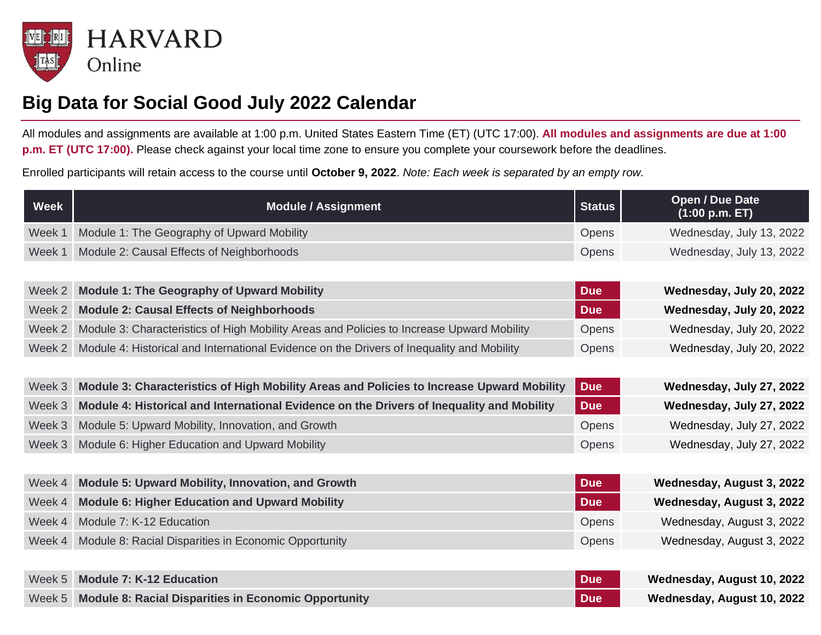

## **Big Data for Social Good July 2022 Calendar**

All modules and assignments are available at 1:00 p.m. United States Eastern Time (ET) (UTC 17:00). **All modules and assignments are due at 1:00 p.m. ET (UTC 17:00).** Please check against your local time zone to ensure you complete your coursework before the deadlines.

Enrolled participants will retain access to the course until **October 9, 2022**. *Note: Each week is separated by an empty row.*

| <b>Week</b> | <b>Module / Assignment</b>                                                                | <b>Status</b> | Open / Due Date<br>(1:00 p.m. ET) |
|-------------|-------------------------------------------------------------------------------------------|---------------|-----------------------------------|
| Week 1      | Module 1: The Geography of Upward Mobility                                                | Opens         | Wednesday, July 13, 2022          |
| Week 1      | Module 2: Causal Effects of Neighborhoods                                                 | Opens         | Wednesday, July 13, 2022          |
|             |                                                                                           |               |                                   |
| Week 2      | <b>Module 1: The Geography of Upward Mobility</b>                                         | <b>Due</b>    | Wednesday, July 20, 2022          |
| Week 2      | <b>Module 2: Causal Effects of Neighborhoods</b>                                          | <b>Due</b>    | Wednesday, July 20, 2022          |
| Week 2      | Module 3: Characteristics of High Mobility Areas and Policies to Increase Upward Mobility | Opens         | Wednesday, July 20, 2022          |
| Week 2      | Module 4: Historical and International Evidence on the Drivers of Inequality and Mobility | Opens         | Wednesday, July 20, 2022          |
|             |                                                                                           |               |                                   |
| Week 3      | Module 3: Characteristics of High Mobility Areas and Policies to Increase Upward Mobility | <b>Due</b>    | Wednesday, July 27, 2022          |
| Week 3      | Module 4: Historical and International Evidence on the Drivers of Inequality and Mobility | <b>Due</b>    | Wednesday, July 27, 2022          |
| Week 3      | Module 5: Upward Mobility, Innovation, and Growth                                         | Opens         | Wednesday, July 27, 2022          |
| Week 3      | Module 6: Higher Education and Upward Mobility                                            | Opens         | Wednesday, July 27, 2022          |
|             |                                                                                           |               |                                   |
| Week 4      | <b>Module 5: Upward Mobility, Innovation, and Growth</b>                                  | <b>Due</b>    | Wednesday, August 3, 2022         |
| Week 4      | <b>Module 6: Higher Education and Upward Mobility</b>                                     | <b>Due</b>    | Wednesday, August 3, 2022         |
| Week 4      | Module 7: K-12 Education                                                                  | Opens         | Wednesday, August 3, 2022         |
| Week 4      | Module 8: Racial Disparities in Economic Opportunity                                      | Opens         | Wednesday, August 3, 2022         |
|             |                                                                                           |               |                                   |
| Week 5      | <b>Module 7: K-12 Education</b>                                                           | <b>Due</b>    | Wednesday, August 10, 2022        |
| Week 5      | <b>Module 8: Racial Disparities in Economic Opportunity</b>                               | <b>Due</b>    | Wednesday, August 10, 2022        |